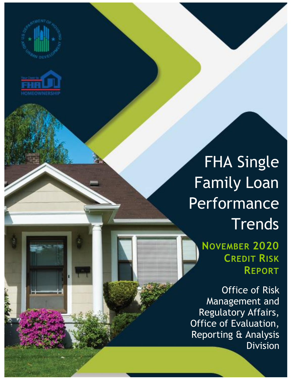



## FHA Single Family Loan Performance **Trends**

**NOVEMBER 2020 CREDIT RISK REPORT**

Office of Risk Management and Regulatory Affairs, Office of Evaluation, Reporting & Analysis Division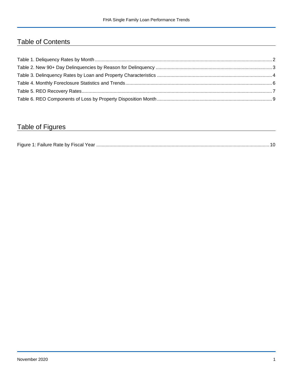## Table of Contents

## Table of Figures

| Figure 1<br>Failure Rate by Fiscal Year. |  |
|------------------------------------------|--|
|------------------------------------------|--|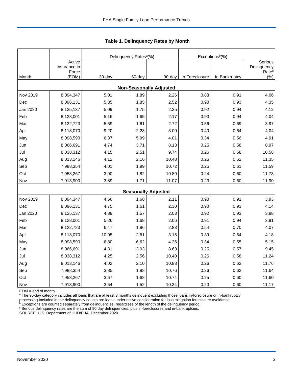|          |                                 |        | Delinquency Rates <sup>a</sup> (%) |        | Exceptions <sup>b</sup> (%) |               |                                             |
|----------|---------------------------------|--------|------------------------------------|--------|-----------------------------|---------------|---------------------------------------------|
|          | Active<br>Insurance in<br>Force |        |                                    |        |                             |               | Serious<br>Delinquency<br>Rate <sup>c</sup> |
| Month    | (EOM)                           | 30-day | 60-day                             | 90-day | In Foreclosure              | In Bankruptcy | (%)                                         |
|          |                                 |        | <b>Non-Seasonally Adjusted</b>     |        |                             |               |                                             |
| Nov 2019 | 8,094,347                       | 5.01   | 1.89                               | 2.26   | 0.88                        | 0.91          | 4.06                                        |
| Dec      | 8,096,131                       | 5.35   | 1.85                               | 2.52   | 0.90                        | 0.93          | 4.35                                        |
| Jan 2020 | 8,125,137                       | 5.09   | 1.75                               | 2.25   | 0.92                        | 0.94          | 4.12                                        |
| Feb      | 8,128,001                       | 5.16   | 1.65                               | 2.17   | 0.93                        | 0.94          | 4.04                                        |
| Mar      | 8,122,723                       | 5.59   | 1.61                               | 2.72   | 0.56                        | 0.69          | 3.97                                        |
| Apr      | 8,118,070                       | 9.20   | 2.28                               | 3.00   | 0.40                        | 0.64          | 4.04                                        |
| May      | 8,098,590                       | 6.37   | 5.99                               | 4.01   | 0.34                        | 0.56          | 4.91                                        |
| Jun      | 8,066,691                       | 4.74   | 3.71                               | 8.13   | 0.25                        | 0.58          | 8.97                                        |
| Jul      | 8,038,312                       | 4.15   | 2.51                               | 9.74   | 0.26                        | 0.58          | 10.58                                       |
| Aug      | 8,013,146                       | 4.12   | 2.16                               | 10.48  | 0.26                        | 0.62          | 11.35                                       |
| Sep      | 7,988,354                       | 4.01   | 1.99                               | 10.72  | 0.25                        | 0.61          | 11.59                                       |
| Oct      | 7,953,267                       | 3.90   | 1.82                               | 10.89  | 0.24                        | 0.60          | 11.73                                       |
| Nov      | 7,913,900                       | 3.89   | 1.71                               | 11.07  | 0.23                        | 0.60          | 11.90                                       |
|          |                                 |        | <b>Seasonally Adjusted</b>         |        |                             |               |                                             |
| Nov 2019 | 8,094,347                       | 4.56   | 1.68                               | 2.11   | 0.90                        | 0.91          | 3.93                                        |
| Dec      | 8,096,131                       | 4.75   | 1.61                               | 2.30   | 0.90                        | 0.93          | 4.14                                        |
| Jan 2020 | 8,125,137                       | 4.88   | 1.57                               | 2.03   | 0.92                        | 0.93          | 3.88                                        |
| Feb      | 8,128,001                       | 5.26   | 1.68                               | 2.06   | 0.91                        | 0.94          | 3.91                                        |
| Mar      | 8,122,723                       | 6.47   | 1.86                               | 2.83   | 0.54                        | 0.70          | 4.07                                        |
| Apr      | 8,118,070                       | 10.05  | 2.61                               | 3.15   | 0.39                        | 0.64          | 4.18                                        |
| May      | 8,098,590                       | 6.80   | 6.62                               | 4.26   | 0.34                        | 0.55          | 5.15                                        |
| Jun      | 8,066,691                       | 4.81   | 3.93                               | 8.63   | 0.25                        | 0.57          | 9.45                                        |
| Jul      | 8,038,312                       | 4.25   | 2.56                               | 10.40  | 0.26                        | 0.58          | 11.24                                       |
| Aug      | 8,013,146                       | 4.02   | 2.10                               | 10.88  | 0.26                        | 0.62          | 11.76                                       |
| Sep      | 7,988,354                       | 3.85   | 1.88                               | 10.76  | 0.26                        | 0.62          | 11.64                                       |
| Oct      | 7,953,267                       | 3.67   | 1.68                               | 10.74  | 0.25                        | 0.60          | 11.60                                       |
| Nov      | 7,913,900                       | 3.54   | 1.52                               | 10.34  | 0.23                        | 0.60          | 11.17                                       |

<span id="page-2-0"></span>**Table 1. Delinquency Rates by Month**

EOM = end of month.

<sup>a</sup> The 90-day category includes all loans that are at least 3 months delinquent excluding those loans in-foreclosure or in-bankruptcy

processing.Included in the delinquency counts are loans under active consideration for loss mitigation foreclosure avoidance.

 $b$  Exceptions are counted separately from delinquencies, regardless of the length of the delinquency period.

<sup>c</sup> Serious delinquency rates are the sum of 90 day delinquencies, plus in-foreclosures and in-bankruptcies.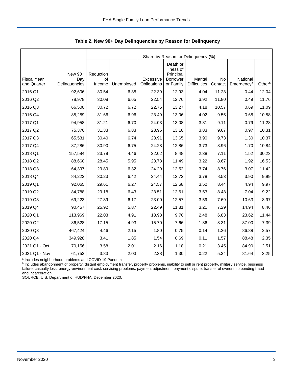|                                   |                                 |                           | Share by Reason for Delinquency (%) |                          |                                                                     |                                |               |                                    |        |  |  |
|-----------------------------------|---------------------------------|---------------------------|-------------------------------------|--------------------------|---------------------------------------------------------------------|--------------------------------|---------------|------------------------------------|--------|--|--|
| <b>Fiscal Year</b><br>and Quarter | New 90+<br>Day<br>Delinquencies | Reduction<br>οf<br>Income | Unemployed                          | Excessive<br>Obligations | Death or<br>Illness of<br>Principal<br><b>Borrower</b><br>or Family | Marital<br><b>Difficulties</b> | No<br>Contact | National<br>Emergency <sup>a</sup> | Otherb |  |  |
| 2016 Q1                           | 92,606                          | 30.54                     | 6.38                                | 22.39                    | 12.93                                                               | 4.04                           | 11.23         | 0.44                               | 12.04  |  |  |
| 2016 Q2                           | 78,978                          | 30.08                     | 6.65                                | 22.54                    | 12.76                                                               | 3.92                           | 11.80         | 0.49                               | 11.76  |  |  |
| 2016 Q3                           | 66,500                          | 30.72                     | 6.72                                | 22.75                    | 13.27                                                               | 4.18                           | 10.57         | 0.69                               | 11.09  |  |  |
| 2016 Q4                           | 85,289                          | 31.66                     | 6.96                                | 23.49                    | 13.06                                                               | 4.02                           | 9.55          | 0.68                               | 10.58  |  |  |
| 2017 Q1                           | 94,958                          | 31.21                     | 6.70                                | 24.03                    | 13.08                                                               | 3.81                           | 9.11          | 0.79                               | 11.28  |  |  |
| 2017 Q2                           | 75,376                          | 31.33                     | 6.83                                | 23.96                    | 13.10                                                               | 3.83                           | 9.67          | 0.97                               | 10.31  |  |  |
| 2017 Q3                           | 65,531                          | 30.40                     | 6.74                                | 23.91                    | 13.65                                                               | 3.90                           | 9.73          | 1.30                               | 10.37  |  |  |
| 2017 Q4                           | 87,286                          | 30.90                     | 6.75                                | 24.28                    | 12.86                                                               | 3.73                           | 8.96          | 1.70                               | 10.84  |  |  |
| 2018 Q1                           | 157,584                         | 23.79                     | 4.46                                | 22.02                    | 8.48                                                                | 2.38                           | 7.11          | 1.52                               | 30.23  |  |  |
| 2018 Q2                           | 88,660                          | 28.45                     | 5.95                                | 23.78                    | 11.49                                                               | 3.22                           | 8.67          | 1.92                               | 16.53  |  |  |
| 2018 Q3                           | 64,397                          | 29.89                     | 6.32                                | 24.29                    | 12.52                                                               | 3.74                           | 8.76          | 3.07                               | 11.42  |  |  |
| 2018 Q4                           | 84,222                          | 30.23                     | 6.42                                | 24.44                    | 12.72                                                               | 3.78                           | 8.53          | 3.90                               | 9.99   |  |  |
| 2019 Q1                           | 92,065                          | 29.61                     | 6.27                                | 24.57                    | 12.68                                                               | 3.52                           | 8.44          | 4.94                               | 9.97   |  |  |
| 2019 Q2                           | 84,788                          | 29.18                     | 6.43                                | 23.51                    | 12.61                                                               | 3.53                           | 8.48          | 7.04                               | 9.22   |  |  |
| 2019 Q3                           | 69,223                          | 27.39                     | 6.17                                | 23.00                    | 12.57                                                               | 3.59                           | 7.69          | 10.63                              | 8.97   |  |  |
| 2019 Q4                           | 90,457                          | 25.92                     | 5.87                                | 22.49                    | 11.81                                                               | 3.21                           | 7.29          | 14.94                              | 8.46   |  |  |
| 2020 Q1                           | 113,969                         | 22.03                     | 4.91                                | 18.98                    | 9.70                                                                | 2.48                           | 6.83          | 23.62                              | 11.44  |  |  |
| 2020 Q2                           | 86,528                          | 17.15                     | 4.93                                | 15.70                    | 7.66                                                                | 1.86                           | 8.31          | 37.00                              | 7.39   |  |  |
| 2020 Q3                           | 467,424                         | 4.46                      | 2.15                                | 1.80                     | 0.75                                                                | 0.14                           | 1.26          | 86.88                              | 2.57   |  |  |
| 2020 Q4                           | 349,928                         | 3.41                      | 1.85                                | 1.54                     | 0.69                                                                | 0.11                           | 1.57          | 88.48                              | 2.35   |  |  |
| 2021 Q1 - Oct                     | 70,156                          | 3.58                      | 2.01                                | 2.16                     | 1.18                                                                | 0.21                           | 3.45          | 84.90                              | 2.51   |  |  |
| 2021 Q1 - Nov                     | 61,753                          | 3.83                      | 2.03                                | 2.38                     | 1.30                                                                | 0.22                           | 5.34          | 81.64                              | 3.25   |  |  |

<span id="page-3-0"></span>**Table 2. New 90+ Day Delinquencies by Reason for Delinquency**

<sup>a</sup> Includes neighborhood problems and COVID-19 Pandemic.<br><sup>b</sup> Includes abandonment of property, distant employment transfer, property problems, inability to sell or rent property, military service, business failure, casualty loss, energy-environment cost, servicing problems, payment adjustment, payment dispute, transfer of ownership pending fraud and incarceration.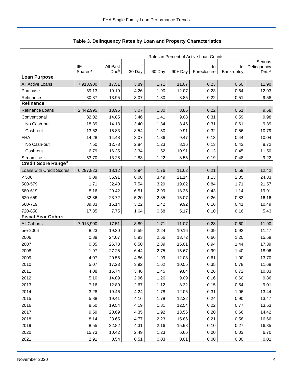|                                                              |                                                               | Rates in Percent of Active Loan Counts                              |                                                              |                                                              |                                                                    |                                                              |                                                              |                                                                    |  |
|--------------------------------------------------------------|---------------------------------------------------------------|---------------------------------------------------------------------|--------------------------------------------------------------|--------------------------------------------------------------|--------------------------------------------------------------------|--------------------------------------------------------------|--------------------------------------------------------------|--------------------------------------------------------------------|--|
|                                                              | <b>IIF</b>                                                    | All Past                                                            |                                                              |                                                              |                                                                    | In                                                           | In                                                           | Serious<br>Delinquency                                             |  |
|                                                              | Shares <sup>a</sup>                                           | Due <sup>b</sup>                                                    | 30 Day                                                       | 60 Day                                                       | $90 + Day$                                                         | Foreclosure                                                  | Bankruptcy                                                   | Rate <sup>c</sup>                                                  |  |
| <b>Loan Purpose</b>                                          |                                                               |                                                                     |                                                              |                                                              | 11.07                                                              |                                                              |                                                              |                                                                    |  |
| All Active Loans                                             | 7,913,900                                                     | 17.51                                                               | 3.89                                                         | 1.71                                                         |                                                                    | 0.23                                                         | 0.60                                                         | 11.90                                                              |  |
| Purchase                                                     | 69.13                                                         | 19.10                                                               | 4.26                                                         | 1.90                                                         | 12.07                                                              | 0.23                                                         | 0.64                                                         | 12.93                                                              |  |
| Refinance<br><b>Refinance</b>                                | 30.87                                                         | 13.95                                                               | 3.07                                                         | 1.30                                                         | 8.85                                                               | 0.22                                                         | 0.51                                                         | 9.58                                                               |  |
| <b>Refinance Loans</b>                                       | 2,442,995                                                     | 13.95                                                               | 3.07                                                         | 1.30                                                         | 8.85                                                               | 0.22                                                         | 0.51                                                         | 9.58                                                               |  |
| Conventional                                                 | 32.02                                                         | 14.85                                                               | 3.46                                                         | 1.41                                                         | 9.08                                                               | 0.31                                                         | 0.59                                                         | 9.98                                                               |  |
| No Cash-out                                                  | 18.39                                                         | 14.13                                                               | 3.40                                                         | 1.34                                                         | 8.46                                                               | 0.31                                                         | 0.61                                                         | 9.39                                                               |  |
| Cash-out                                                     | 13.62                                                         | 15.83                                                               | 3.54                                                         | 1.50                                                         | 9.91                                                               | 0.32                                                         | 0.56                                                         | 10.79                                                              |  |
| <b>FHA</b>                                                   |                                                               | 14.48                                                               |                                                              | 1.36                                                         |                                                                    |                                                              |                                                              | 10.04                                                              |  |
|                                                              | 14.28                                                         |                                                                     | 3.07                                                         |                                                              | 9.47                                                               | 0.13                                                         | 0.44                                                         |                                                                    |  |
| No Cash-out                                                  | 7.50                                                          | 12.78                                                               | 2.84                                                         | 1.23                                                         | 8.16                                                               | 0.13                                                         | 0.43                                                         | 8.72                                                               |  |
| Cash-out                                                     | 6.79                                                          | 16.35                                                               | 3.34                                                         | 1.52                                                         | 10.91                                                              | 0.13                                                         | 0.45                                                         | 11.50                                                              |  |
| Streamline<br><b>Credit Score Ranged</b>                     | 53.70                                                         | 13.28                                                               | 2.83                                                         | 1.22                                                         | 8.55                                                               | 0.19                                                         | 0.48                                                         | 9.22                                                               |  |
| Loans with Credit Scores                                     | 6,297,823                                                     | 18.12                                                               | 3.94                                                         | 1.76                                                         | 11.62                                                              | 0.21                                                         | 0.59                                                         | 12.42                                                              |  |
| < 500                                                        | 0.09                                                          | 35.91                                                               | 8.08                                                         | 3.49                                                         | 21.14                                                              | 1.13                                                         | 2.05                                                         | 24.33                                                              |  |
| 500-579                                                      | 1.71                                                          | 32.40                                                               | 7.54                                                         | 3.29                                                         | 19.02                                                              | 0.84                                                         | 1.71                                                         | 21.57                                                              |  |
| 580-619                                                      | 8.16                                                          | 29.42                                                               | 6.51                                                         | 2.99                                                         | 18.35                                                              | 0.43                                                         | 1.14                                                         | 19.91                                                              |  |
| 620-659                                                      | 32.86                                                         | 23.72                                                               | 5.20                                                         | 2.35                                                         | 15.07                                                              | 0.26                                                         | 0.83                                                         | 16.16                                                              |  |
| 660-719                                                      | 39.33                                                         | 15.14                                                               | 3.22                                                         | 1.42                                                         | 9.92                                                               | 0.16                                                         | 0.41                                                         | 10.49                                                              |  |
| 720-850                                                      | 17.85                                                         |                                                                     | 1.64                                                         | 0.68                                                         | 5.17                                                               |                                                              |                                                              | 5.43                                                               |  |
| <b>Fiscal Year Cohort</b>                                    |                                                               | 7.75                                                                |                                                              |                                                              |                                                                    | 0.10                                                         | 0.16                                                         |                                                                    |  |
| <b>All Cohorts</b>                                           | 7,913,900                                                     | 17.51                                                               | 3.89                                                         | 1.71                                                         | 11.07                                                              | 0.23                                                         | 0.60                                                         | 11.90                                                              |  |
| pre-2006                                                     | 8.23                                                          | 19.30                                                               | 5.59                                                         | 2.24                                                         | 10.16                                                              | 0.39                                                         | 0.92                                                         | 11.47                                                              |  |
| 2006                                                         | 0.88                                                          | 24.07                                                               | 5.93                                                         | 2.56                                                         | 13.72                                                              | 0.66                                                         | 1.20                                                         | 15.58                                                              |  |
| 2007                                                         | 0.85                                                          | 26.78                                                               | 6.50                                                         | 2.89                                                         | 15.01                                                              | 0.94                                                         | 1.44                                                         | 17.39                                                              |  |
| 2008                                                         | 1.97                                                          | 27.25                                                               | 6.44                                                         | 2.75                                                         | 15.67                                                              | 0.99                                                         | 1.40                                                         | 18.06                                                              |  |
| 2009                                                         | 4.07                                                          | 20.55                                                               | 4.86                                                         | 1.99                                                         | 12.08                                                              | 0.61                                                         | 1.00                                                         | 13.70                                                              |  |
| 2010                                                         | 5.07                                                          | 17.23                                                               | 3.92                                                         | 1.62                                                         | 10.55                                                              | 0.35                                                         | 0.78                                                         | 11.68                                                              |  |
| 2011                                                         | 4.08                                                          | 15.74                                                               | 3.46                                                         | 1.45                                                         | 9.84                                                               | 0.26                                                         | 0.72                                                         | 10.83                                                              |  |
| 2012                                                         | 5.10                                                          | 14.09                                                               | 2.96                                                         | 1.26                                                         | 9.09                                                               | 0.16                                                         | 0.60                                                         | 9.86                                                               |  |
| 2013                                                         | 7.16                                                          | 12.80                                                               | 2.67                                                         | 1.12                                                         | 8.32                                                               | 0.15                                                         | 0.54                                                         | 9.01                                                               |  |
|                                                              |                                                               |                                                                     |                                                              |                                                              |                                                                    |                                                              |                                                              |                                                                    |  |
|                                                              |                                                               |                                                                     |                                                              |                                                              |                                                                    |                                                              |                                                              |                                                                    |  |
|                                                              |                                                               |                                                                     |                                                              |                                                              |                                                                    |                                                              |                                                              |                                                                    |  |
|                                                              |                                                               |                                                                     |                                                              |                                                              |                                                                    |                                                              |                                                              |                                                                    |  |
|                                                              |                                                               |                                                                     |                                                              |                                                              |                                                                    |                                                              |                                                              |                                                                    |  |
|                                                              |                                                               |                                                                     |                                                              |                                                              |                                                                    |                                                              |                                                              |                                                                    |  |
|                                                              |                                                               |                                                                     |                                                              |                                                              |                                                                    |                                                              |                                                              |                                                                    |  |
|                                                              |                                                               |                                                                     |                                                              |                                                              |                                                                    |                                                              |                                                              |                                                                    |  |
| 2014<br>2015<br>2016<br>2017<br>2018<br>2019<br>2020<br>2021 | 3.28<br>5.88<br>8.50<br>9.59<br>8.14<br>8.55<br>15.73<br>2.91 | 19.46<br>19.41<br>19.54<br>20.69<br>23.65<br>22.82<br>10.42<br>0.54 | 4.24<br>4.16<br>4.19<br>4.35<br>4.77<br>4.31<br>2.49<br>0.51 | 1.78<br>1.78<br>1.81<br>1.92<br>2.23<br>2.16<br>1.23<br>0.03 | 12.06<br>12.32<br>12.54<br>13.56<br>15.86<br>15.98<br>6.66<br>0.01 | 0.31<br>0.24<br>0.22<br>0.20<br>0.21<br>0.10<br>0.00<br>0.00 | 1.06<br>0.90<br>0.77<br>0.66<br>0.58<br>0.27<br>0.03<br>0.00 | 13.44<br>13.47<br>13.53<br>14.42<br>16.66<br>16.35<br>6.70<br>0.01 |  |

<span id="page-4-0"></span>Table 3. Delinquency Rates by Loan and Property Characteristics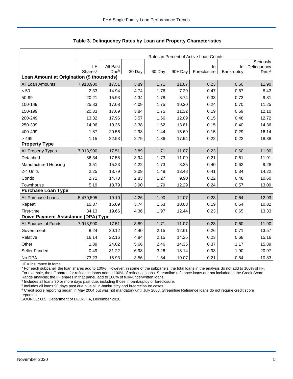|                                           |                                   |                              | Rates in Percent of Active Loan Counts |        |         |                   |                  |                   |  |  |
|-------------------------------------------|-----------------------------------|------------------------------|----------------------------------------|--------|---------|-------------------|------------------|-------------------|--|--|
|                                           |                                   |                              |                                        |        |         |                   |                  | Seriously         |  |  |
|                                           | <b>IIF</b><br>Shares <sup>a</sup> | All Past<br>Due <sup>b</sup> | 30 Day                                 | 60 Day | 90+ Day | In<br>Foreclosure | In<br>Bankruptcy | Delinquency       |  |  |
| Loan Amount at Origination (\$ thousands) |                                   |                              |                                        |        |         |                   |                  | Rate <sup>c</sup> |  |  |
| All Loan Amounts                          | 7,913,900                         | 17.51                        | 3.89                                   | 1.71   | 11.07   | 0.23              | 0.60             | 11.90             |  |  |
| < 50                                      | 2.33                              | 14.94                        | 4.74                                   | 1.76   | 7.29    | 0.47              | 0.67             | 8.43              |  |  |
| 50-99                                     | 20.21                             | 15.93                        | 4.34                                   | 1.78   | 8.74    | 0.33              | 0.73             | 9.81              |  |  |
| 100-149                                   | 25.83                             | 17.08                        | 4.09                                   | 1.75   | 10.30   | 0.24              | 0.70             | 11.25             |  |  |
| 150-199                                   | 20.33                             | 17.69                        | 3.84                                   | 1.75   | 11.32   | 0.19              | 0.59             | 12.10             |  |  |
| 200-249                                   | 13.32                             | 17.96                        | 3.57                                   | 1.66   | 12.09   | 0.15              | 0.48             | 12.72             |  |  |
| 250-399                                   | 14.96                             | 19.36                        | 3.38                                   | 1.62   | 13.81   | 0.15              | 0.40             | 14.36             |  |  |
| 400-499                                   | 1.87                              | 20.56                        | 2.98                                   | 1.44   | 15.69   | 0.15              | 0.29             | 16.14             |  |  |
| >499                                      | 1.15                              | 22.53                        | 2.79                                   | 1.36   | 17.94   | 0.22              | 0.22             | 18.38             |  |  |
| <b>Property Type</b>                      |                                   |                              |                                        |        |         |                   |                  |                   |  |  |
| All Property Types                        | 7,913,900                         | 17.51                        | 3.89                                   | 1.71   | 11.07   | 0.23              | 0.60             | 11.90             |  |  |
| Detached                                  | 86.34                             | 17.58                        | 3.94                                   | 1.73   | 11.09   | 0.21              | 0.61             | 11.91             |  |  |
| <b>Manufactured Housing</b>               | 3.51                              | 15.23                        | 4.22                                   | 1.73   | 8.25    | 0.40              | 0.62             | 9.28              |  |  |
| 2-4 Units                                 | 2.25                              | 18.79                        | 3.09                                   | 1.48   | 13.48   | 0.41              | 0.34             | 14.22             |  |  |
| Condo                                     | 2.71                              | 14.70                        | 2.83                                   | 1.27   | 9.90    | 0.22              | 0.48             | 10.60             |  |  |
| Townhouse                                 | 5.19                              | 18.79                        | 3.90                                   | 1.79   | 12.29   | 0.24              | 0.57             | 13.09             |  |  |
| <b>Purchase Loan Type</b>                 |                                   |                              |                                        |        |         |                   |                  |                   |  |  |
| All Purchase Loans                        | 5,470,505                         | 19.10                        | 4.26                                   | 1.90   | 12.07   | 0.23              | 0.64             | 12.93             |  |  |
| Repeat                                    | 15.87                             | 16.09                        | 3.74                                   | 1.53   | 10.08   | 0.19              | 0.54             | 10.82             |  |  |
| First-time                                | 84.13                             | 19.66                        | 4.36                                   | 1.97   | 12.44   | 0.23              | 0.65             | 13.33             |  |  |
| Down Payment Assistance (DPA) Type        |                                   |                              |                                        |        |         |                   |                  |                   |  |  |
| All Sources of Funds                      | 7,913,900                         | 17.51                        | 3.89                                   | 1.71   | 11.07   | 0.23              | 0.60             | 11.90             |  |  |
| Government                                | 8.24                              | 20.12                        | 4.40                                   | 2.15   | 12.61   | 0.26              | 0.71             | 13.57             |  |  |
| Relative                                  | 16.14                             | 22.16                        | 4.84                                   | 2.15   | 14.25   | 0.23              | 0.68             | 15.16             |  |  |
| Other                                     | 1.89                              | 24.02                        | 5.66                                   | 2.46   | 14.35   | 0.37              | 1.17             | 15.89             |  |  |
| Seller Funded                             | 0.49                              | 31.22                        | 6.98                                   | 3.26   | 18.14   | 0.93              | 1.90             | 20.97             |  |  |
| No DPA                                    | 73.23                             | 15.93                        | 3.56                                   | 1.54   | 10.07   | 0.21              | 0.54             | 10.83             |  |  |

**Table 3. Delinquency Rates by Loan and Property Characteristics**

IIF = insurance in force.

<sup>a</sup> For each subpanel, the loan shares add to 100%. However, in some of the subpanels, the total loans in the analysis do not add to 100% of IIF. For example, the IIF shares for refinance loans add to 100% of refinance loans. Streamline refinance loans are not included in the Credit Score

Range analysis; the IIF shares in that panel, add to 100% of fully-underwritten loans.<br><sup>b</sup> Includes all loans 30 or more days past due, including those in bankruptcy or foreclosure.

c Includes all loans 90 days past due plus all in-bankruptcy and in-foreclosure cases.

<sup>d</sup> Credit score reporting began in May 2004 but was not mandatory until July 2008. Streamline Refinance loans do not require credit score reporting.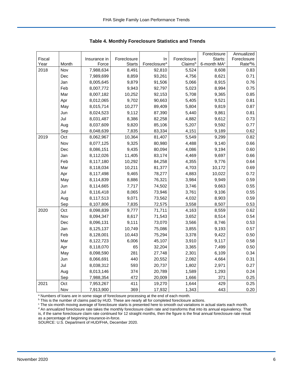|        |       |              |               |                          |             | Foreclosure             | Annualized         |
|--------|-------|--------------|---------------|--------------------------|-------------|-------------------------|--------------------|
| Fiscal |       | Insurance in | Foreclosure   | In                       | Foreclosure | Starts:                 | Foreclosure        |
| Year   | Month | Force        | <b>Starts</b> | Foreclosure <sup>a</sup> | Claimsb     | 6-month MA <sup>c</sup> | Rate <sup>d%</sup> |
| 2018   | Nov   | 7,988,634    | 8,491         | 92,810                   | 5,524       | 8,608                   | 0.83               |
|        | Dec   | 7,989,699    | 8,859         | 93,261                   | 4,756       | 8,621                   | 0.71               |
|        | Jan   | 8,005,645    | 9,879         | 91,506                   | 5,066       | 8,915                   | 0.76               |
|        | Feb   | 8,007,772    | 9,943         | 92,797                   | 5,023       | 8,994                   | 0.75               |
|        | Mar   | 8,007,182    | 10,252        | 92,153                   | 5,708       | 9,365                   | 0.85               |
|        | Apr   | 8,012,065    | 9,702         | 90,663                   | 5,405       | 9,521                   | 0.81               |
|        | May   | 8,015,714    | 10,277        | 89,409                   | 5,804       | 9,819                   | 0.87               |
|        | Jun   | 8,024,523    | 9,112         | 87,390                   | 5,440       | 9,861                   | 0.81               |
|        | Jul   | 8,031,487    | 8,386         | 82,258                   | 4,882       | 9,612                   | 0.73               |
|        | Aug   | 8,037,609    | 9,820         | 85,106                   | 5,207       | 9,592                   | 0.77               |
|        | Sep   | 8,048,639    | 7,835         | 83,334                   | 4,151       | 9,189                   | 0.62               |
| 2019   | Oct   | 8,062,967    | 10,364        | 81,407                   | 5,549       | 9,299                   | 0.82               |
|        | Nov   | 8,077,125    | 9,325         | 80,980                   | 4,488       | 9,140                   | 0.66               |
|        | Dec   | 8,086,151    | 9,435         | 80,094                   | 4,086       | 9,194                   | 0.60               |
|        | Jan   | 8,112,026    | 11,405        | 83,174                   | 4,469       | 9,697                   | 0.66               |
|        | Feb   | 8,117,180    | 10,292        | 84,258                   | 4,355       | 9,776                   | 0.64               |
|        | Mar   | 8,118,034    | 10,211        | 81,377                   | 4,703       | 10,172                  | 0.69               |
|        | Apr   | 8,117,498    | 9,465         | 78,277                   | 4,883       | 10,022                  | 0.72               |
|        | May   | 8,114,839    | 8,886         | 76,321                   | 3,984       | 9,949                   | 0.59               |
|        | Jun   | 8,114,665    | 7,717         | 74,502                   | 3,746       | 9,663                   | 0.55               |
|        | Jul   | 8,116,418    | 8,065         | 73,946                   | 3,761       | 9,106                   | 0.55               |
|        | Aug   | 8,117,513    | 9,071         | 73,562                   | 4,032       | 8,903                   | 0.59               |
|        | Sep   | 8,107,806    | 7,835         | 72,575                   | 3,558       | 8,507                   | 0.53               |
| 2020   | Oct   | 8,098,839    | 9,777         | 71,711                   | 4,163       | 8,559                   | 0.62               |
|        | Nov   | 8,094,347    | 8,617         | 71,543                   | 3,652       | 8,514                   | 0.54               |
|        | Dec   | 8,096,131    | 9,111         | 73,070                   | 3,566       | 8,746                   | 0.53               |
|        | Jan   | 8,125,137    | 10,749        | 75,086                   | 3,855       | 9,193                   | 0.57               |
|        | Feb   | 8,128,001    | 10,443        | 75,294                   | 3,378       | 9,422                   | 0.50               |
|        | Mar   | 8,122,723    | 6,006         | 45,107                   | 3,910       | 9,117                   | 0.58               |
|        | Apr   | 8,118,070    | 65            | 32,204                   | 3,365       | 7,499                   | 0.50               |
|        | May   | 8,098,590    | 281           | 27,748                   | 2,301       | 6,109                   | 0.34               |
|        | Jun   | 8,066,691    | 440           | 20,552                   | 2,082       | 4,664                   | 0.31               |
|        | Jul   | 8,038,312    | 593           | 20,737                   | 1,802       | 2,971                   | 0.27               |
|        | Aug   | 8,013,146    | 374           | 20,789                   | 1,589       | 1,293                   | 0.24               |
|        | Sep   | 7,988,354    | 472           | 20,009                   | 1,666       | 371                     | 0.25               |
| 2021   | Oct   | 7,953,267    | 411           | 19,270                   | 1,644       | 429                     | 0.25               |
|        | Nov   | 7,913,900    | 369           | 17,932                   | 1,343       | 443                     | 0.20               |

<span id="page-6-0"></span>**Table 4. Monthly Foreclosure Statistics and Trends**

<sup>a</sup> Numbers of loans are in some stage of foreclosure processing at the end of each month.

b This is the number of claims paid by HUD. These are nearly all for completed foreclosure actions.

<sup>c</sup> The six-month moving average of foreclosure starts is presented here to smooth out variations in actual starts each month. <sup>d</sup> An annualized foreclosure rate takes the monthly foreclosure claim rate and transforms that into its annual equivalency. That is, if the same foreclosure claim rate continued for 12 straight months, then the figure is the final annual foreclosure rate result as a percentage of beginning insurance-in-force.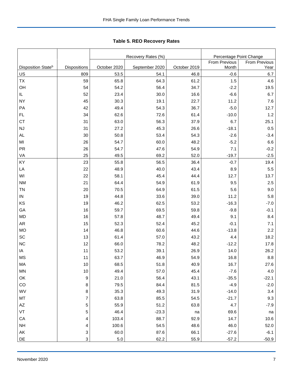<span id="page-7-0"></span>Tabl e 5. REO R ecovery R ates **Table 5. REO Recovery Rates**

|                                |                |              | Recovery Rates (%) | Percentage Point Change |               |                      |  |
|--------------------------------|----------------|--------------|--------------------|-------------------------|---------------|----------------------|--|
|                                |                |              |                    |                         | From Previous | <b>From Previous</b> |  |
| Disposition State <sup>b</sup> | Dispositions   | October 2020 | September 2020     | October 2019            | Month         | Year                 |  |
| US                             | 809            | 53.5         | 54.1               | 46.8                    | $-0.6$        | 6.7                  |  |
| <b>TX</b>                      | 59             | 65.8         | 64.3               | 61.2                    | 1.5           | 4.6                  |  |
| OH                             | 54             | 54.2         | 56.4               | 34.7                    | $-2.2$        | 19.5                 |  |
| IL                             | 52             | 23.4         | 30.0               | 16.6                    | $-6.6$        | 6.7                  |  |
| <b>NY</b>                      | 45             | 30.3         | 19.1               | 22.7                    | 11.2          | 7.6                  |  |
| PA                             | 42             | 49.4         | 54.3               | 36.7                    | $-5.0$        | 12.7                 |  |
| FL                             | 34             | 62.6         | 72.6               | 61.4                    | $-10.0$       | 1.2                  |  |
| <b>CT</b>                      | 31             | 63.0         | 56.3               | 37.9                    | 6.7           | 25.1                 |  |
| NJ                             | 31             | 27.2         | 45.3               | 26.6                    | $-18.1$       | 0.5                  |  |
| <b>AL</b>                      | 30             | 50.8         | 53.4               | 54.3                    | $-2.6$        | $-3.4$               |  |
| MI                             | 26             | 54.7         | 60.0               | 48.2                    | $-5.2$        | 6.6                  |  |
| <b>PR</b>                      | 26             | 54.7         | 47.6               | 54.9                    | 7.1           | $-0.2$               |  |
| VA                             | 25             | 49.5         | 69.2               | 52.0                    | $-19.7$       | $-2.5$               |  |
| KY                             | 23             | 55.8         | 56.5               | 36.4                    | $-0.7$        | 19.4                 |  |
| LA                             | 22             | 48.9         | 40.0               | 43.4                    | 8.9           | $5.5\,$              |  |
| WI                             | 22             | 58.1         | 45.4               | 44.4                    | 12.7          | 13.7                 |  |
| <b>NM</b>                      | 21             | 64.4         | 54.9               | 61.9                    | 9.5           | 2.5                  |  |
| <b>TN</b>                      | 20             | 70.5         | 64.9               | 61.5                    | 5.6           | 9.0                  |  |
| ${\sf IN}$                     | 19             | 44.8         | 33.6               | 39.0                    | 11.2          | 5.8                  |  |
| KS                             | 19             | 46.2         | 62.5               | 53.2                    | $-16.3$       | $-7.0$               |  |
| GA                             | 16             | 59.7         | 69.5               | 59.8                    | $-9.8$        | $-0.1$               |  |
| <b>MD</b>                      | 16             | 57.8         | 48.7               | 49.4                    | 9.1           | 8.4                  |  |
| <b>AR</b>                      | 15             | 52.3         | 52.4               | 45.2                    | $-0.1$        | 7.1                  |  |
| <b>MO</b>                      | 14             | 46.8         | 60.6               | 44.6                    | $-13.8$       | 2.2                  |  |
| SC                             | 13             | 61.4         | 57.0               | 43.2                    | 4.4           | 18.2                 |  |
| <b>NC</b>                      | 12             | 66.0         | 78.2               | 48.2                    | $-12.2$       | 17.8                 |  |
| IA                             | 11             | 53.2         | 39.1               | 26.9                    | 14.0          | 26.2                 |  |
| <b>MS</b>                      | 11             | 63.7         | 46.9               | 54.9                    | 16.8          | $8.8\,$              |  |
| МA                             | 10             | 68.5         | 51.8               | 40.9                    | 16.7          | 27.6                 |  |
| MN                             | 10             | 49.4         | 57.0               | 45.4                    | $-7.6$        | $4.0$                |  |
| OK                             | 9              | 21.0         | 56.4               | 43.1                    | $-35.5$       | $-22.1$              |  |
| CO                             | $\bf 8$        | 79.5         | 84.4               | 81.5                    | $-4.9$        | $-2.0$               |  |
| WV                             | $\bf 8$        | 35.3         | 49.3               | 31.9                    | $-14.0$       | $3.4$                |  |
| MT                             | $\overline{7}$ | 63.8         | 85.5               | 54.5                    | $-21.7$       | 9.3                  |  |
| $\mathsf{A}\mathsf{Z}$         | 5              | 55.9         | 51.2               | 63.8                    | 4.7           | $-7.9$               |  |
| VT                             | 5              | 46.4         | $-23.3$            | na                      | 69.6          | na                   |  |
| CA                             | 4              | 103.4        | 88.7               | 92.9                    | 14.7          | 10.6                 |  |
| <b>NH</b>                      | 4              | 100.6        | 54.5               | 48.6                    | 46.0          | 52.0                 |  |
| ${\sf AK}$                     | $\mathbf{3}$   | 60.0         | 87.6               | 66.1                    | $-27.6$       | $-6.1$               |  |
| DE                             | $\mathbf{3}$   | $5.0\,$      | 62.2               | 55.9                    | $-57.2$       | $-50.9$              |  |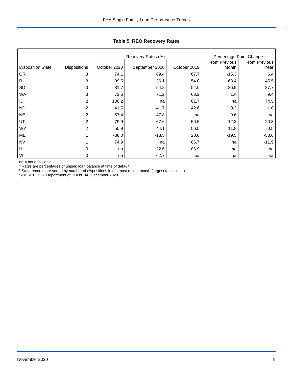|                                |                     |              | Recovery Rates (%) |              | Percentage Point Change |                       |
|--------------------------------|---------------------|--------------|--------------------|--------------|-------------------------|-----------------------|
| Disposition State <sup>b</sup> | <b>Dispositions</b> | October 2020 | September 2020     | October 2019 | From Previous<br>Month  | From Previous<br>Year |
|                                |                     |              |                    |              |                         |                       |
| <b>OR</b>                      | 3                   | 74.1         | 89.4               | 67.7         | $-15.3$                 | 6.4                   |
| R <sub>1</sub>                 | 3                   | 99.5         | 36.1               | 54.0         | 63.4                    | 45.5                  |
| <b>SD</b>                      | 3                   | 81.7         | 54.8               | 54.0         | 26.9                    | 27.7                  |
| <b>WA</b>                      | 3                   | 72.6         | 71.2               | 63.2         | 1.4                     | 9.4                   |
| ID                             | 2                   | 136.2        | na                 | 61.7         | na                      | 74.5                  |
| <b>ND</b>                      | 2                   | 41.5         | 41.7               | 42.6         | $-0.2$                  | $-1.0$                |
| <b>NE</b>                      | 2                   | 57.4         | 47.8               | na           | 9.6                     | na                    |
| UT                             | $\overline{c}$      | 79.9         | 67.6               | 59.5         | 12.3                    | 20.3                  |
| <b>WY</b>                      | 2                   | 55.9         | 44.1               | 56.5         | 11.8                    | $-0.5$                |
| ME                             | 1                   | $-38.0$      | $-18.5$            | 20.6         | $-19.5$                 | $-58.6$               |
| <b>NV</b>                      |                     | 74.9         | na                 | 86.7         | na                      | $-11.9$               |
| HI                             | 0                   | na           | 132.6              | 86.9         | na                      | na                    |
| VI                             | 0                   | na           | 62.7               | na           | na                      | na                    |

**Table 5. REO Recovery Rates**

na = not applicable

<sup>a</sup> Rates are percentages of unpaid loan balance at time of default.

 $b$  State records are sorted by number of dispositions in the most recent month (largest to smallest).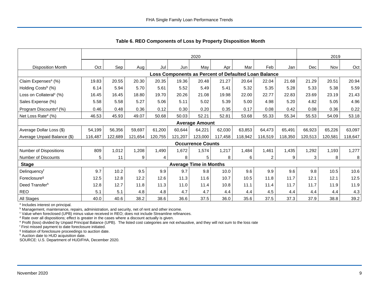|                                     |         | 2020    |         |         |         |                               |         |                                                      |                |         |         | 2019    |         |
|-------------------------------------|---------|---------|---------|---------|---------|-------------------------------|---------|------------------------------------------------------|----------------|---------|---------|---------|---------|
| <b>Disposition Month</b>            | Oct     | Sep     | Aug I   | Jul     | Jun     | May                           | Apr     | Mar                                                  | Feb            | Jan     | Dec     | Nov     | Oct     |
|                                     |         |         |         |         |         |                               |         | Loss Components as Percent of Defaulted Loan Balance |                |         |         |         |         |
| Claim Expenses <sup>a</sup> (%)     | 19.83   | 20.55   | 20.30   | 20.35   | 19.36   | 20.48                         | 21.27   | 20.64                                                | 22.04          | 21.68   | 21.29   | 20.51   | 20.94   |
| Holding Costs <sup>b</sup> (%)      | 6.14    | 5.94    | 5.70    | 5.61    | 5.52    | 5.49                          | 5.41    | 5.32                                                 | 5.35           | 5.28    | 5.33    | 5.38    | 5.59    |
| Loss on Collateral <sup>c</sup> (%) | 16.45   | 16.45   | 18.80   | 19.70   | 20.26   | 21.08                         | 19.98   | 22.00                                                | 22.77          | 22.83   | 23.69   | 23.19   | 21.43   |
| Sales Expense (%)                   | 5.58    | 5.58    | 5.27    | 5.06    | 5.11    | 5.02                          | 5.39    | 5.00                                                 | 4.98           | 5.20    | 4.82    | 5.05    | 4.96    |
| Program Discounts <sup>d</sup> (%)  | 0.46    | 0.48    | 0.36    | 0.12    | 0.30    | 0.20                          | 0.35    | 0.17                                                 | 0.08           | 0.42    | 0.08    | 0.36    | 0.22    |
| Net Loss Rate <sup>e</sup> (%)      | 46.53   | 45.93   | 49.07   | 50.68   | 50.03   | 52.21                         | 52.81   | 53.68                                                | 55.33          | 55.34   | 55.53   | 54.09   | 53.18   |
|                                     |         |         |         |         |         | <b>Average Amount</b>         |         |                                                      |                |         |         |         |         |
| Average Dollar Loss (\$)            | 54,199  | 56,356  | 59,697  | 61,200  | 60,644  | 64,221                        | 62,030  | 63,853                                               | 64,473         | 65,491  | 66,923  | 65,226  | 63,097  |
| Average Unpaid Balance (\$)         | 116,487 | 122,689 | 121,654 | 120,755 | 121,207 | 123,000                       | 117,458 | 118,942                                              | 116,519        | 118,350 | 120,513 | 120,581 | 118,647 |
|                                     |         |         |         |         |         | <b>Occurrence Counts</b>      |         |                                                      |                |         |         |         |         |
| Number of Dispositions              | 809     | 1,012   | 1,208   | 1,490   | 1,672   | 1,574                         | 1,217   | 1,484                                                | 1,461          | 1,435   | 1,292   | 1,193   | 1,277   |
| Number of Discounts                 | 5       | 11      | 9       | 4       | 8       | 5                             | 8       | 6                                                    | $\overline{2}$ | 9       | 3       | 8       | 8       |
| <b>Stage</b>                        |         |         |         |         |         | <b>Average Time in Months</b> |         |                                                      |                |         |         |         |         |
| Delinquencyf                        | 9.7     | 10.2    | 9.5     | 9.9     | 9.7     | 9.8                           | 10.0    | 9.6                                                  | 9.9            | 9.6     | 9.8     | 10.5    | 10.6    |
| Foreclosure <sup>g</sup>            | 12.5    | 12.8    | 12.2    | 12.6    | 11.3    | 11.6                          | 10.7    | 10.5                                                 | 11.8           | 11.7    | 12.1    | 12.1    | 12.5    |
| Deed Transferh                      | 12.8    | 12.7    | 11.8    | 11.3    | 11.0    | 11.4                          | 10.8    | 11.1                                                 | 11.4           | 11.7    | 11.7    | 11.9    | 11.9    |
| <b>REO</b>                          | 5.1     | 5.1     | 4.8     | 4.8     | 4.7     | 4.7                           | 4.4     | 4.4                                                  | 4.5            | 4.4     | 4.4     | 4.4     | 4.3     |
| All Stages                          | 40.0    | 40.6    | 38.2    | 38.6    | 36.6    | 37.5                          | 36.0    | 35.6                                                 | 37.5           | 37.3    | 37.9    | 38.8    | 39.2    |

<span id="page-9-0"></span>**Table 6. REO Components of Loss by Property Disposition Month**

<sup>a</sup> Includes interest on principal.

**b** Management, maintenance, repairs, administration, and security, net of rent and other income.

<sup>c</sup> Value when foreclosed (UPB) minus value received in REO; does not include Streamline refinances.

<sup>d</sup> Rate over all dispositions; effect is greater in the cases where a discount actually is given.

<sup>e</sup> Profit (loss) divided by Unpaid Principal Balance (UPB). The listed cost categories are not exhaustive, and they will not sum to the loss rate

<sup>f</sup> First missed payment to date foreclosure initiated.

<sup>g</sup> Initiation of foreclosure proceedings to auction date.

h Auction date to HUD acquisition date.